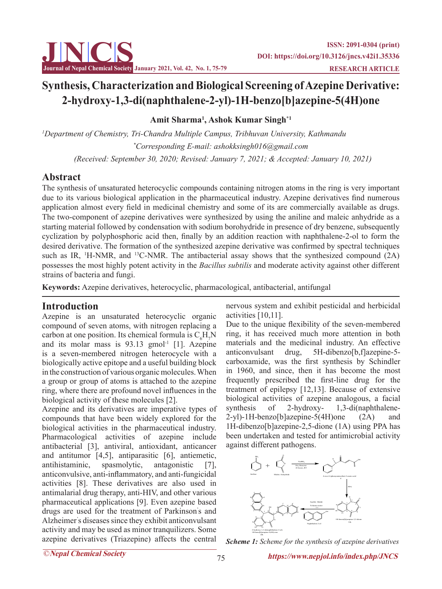

# **Synthesis, Characterization and Biological Screening of Azepine Derivative: 2-hydroxy-1,3-di(naphthalene-2-yl)-1H-benzo[b]azepine-5(4H)one**

**Amit Sharma1 , Ashok Kumar Singh\*1**

*1 Department of Chemistry, Tri-Chandra Multiple Campus, Tribhuvan University, Kathmandu \* Corresponding E-mail: ashokksingh016@gmail.com*

 *(Received: September 30, 2020; Revised: January 7, 2021; & Accepted: January 10, 2021)*

## **Abstract**

The synthesis of unsaturated heterocyclic compounds containing nitrogen atoms in the ring is very important due to its various biological application in the pharmaceutical industry. Azepine derivatives find numerous application almost every field in medicinal chemistry and some of its are commercially available as drugs. The two-component of azepine derivatives were synthesized by using the aniline and maleic anhydride as a starting material followed by condensation with sodium borohydride in presence of dry benzene, subsequently cyclization by polyphosphoric acid then, finally by an addition reaction with naphthalene-2-ol to form the desired derivative. The formation of the synthesized azepine derivative was confirmed by spectral techniques such as IR, <sup>1</sup>H-NMR, and <sup>13</sup>C-NMR. The antibacterial assay shows that the synthesized compound (2A) possesses the most highly potent activity in the *Bacillus subtilis* and moderate activity against other different strains of bacteria and fungi.

**Keywords:** Azepine derivatives, heterocyclic, pharmacological, antibacterial, antifungal

## **Introduction**

Azepine is an unsaturated heterocyclic organic compound of seven atoms, with nitrogen replacing a carbon at one position. Its chemical formula is  $C_6H_7N$ and its molar mass is  $93.13$  gmol<sup>-1</sup> [1]. Azepine is a seven-membered nitrogen heterocycle with a biologically active epitope and a useful building block in the construction of various organic molecules. When a group or group of atoms is attached to the azepine ring, where there are profound novel influences in the biological activity of these molecules [2].

Azepine and its derivatives are imperative types of compounds that have been widely explored for the biological activities in the pharmaceutical industry. Pharmacological activities of azepine include antibacterial [3], antiviral, antioxidant, anticancer and antitumor [4,5], antiparasitic [6], antiemetic, antihistaminic, spasmolytic, antagonistic [7], anticonvulsive, anti-inflammatory, and anti-fungicidal activities [8]. These derivatives are also used in antimalarial drug therapy, anti-HIV, and other various pharmaceutical applications [9]. Even azepine based drugs are used for the treatment of Parkinson' s and Alzheimer' s diseases since they exhibit anticonvulsant activity and may be used as minor tranquilizers. Some azepine derivatives (Triazepine) affects the central

nervous system and exhibit pesticidal and herbicidal activities [10,11].

Due to the unique flexibility of the seven-membered ring, it has received much more attention in both materials and the medicinal industry. An effective anticonvulsant drug, 5H-dibenzo[b,f]azepine-5 carboxamide, was the first synthesis by Schindler in 1960, and since, then it has become the most frequently prescribed the first-line drug for the treatment of epilepsy [12,13]. Because of extensive biological activities of azepine analogous, a facial synthesis of 2-hydroxy- 1,3-di(naphthalene-2-yl)-1H-benzo[b]azepine-5(4H)one (2A) and 1H-dibenzo[b]azepine-2,5-dione (1A) using PPA has been undertaken and tested for antimicrobial activity against different pathogens.



*Scheme 1: Scheme for the synthesis of azepine derivatives*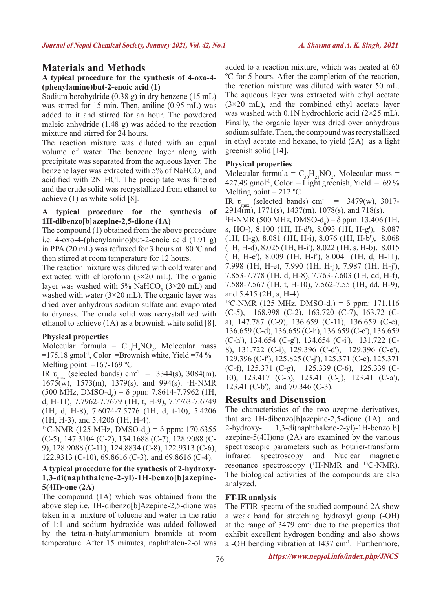## **Materials and Methods**

#### **A typical procedure for the synthesis of 4-oxo-4- (phenylamino)but-2-enoic acid (1)**

Sodium borohydride (0.38 g) in dry benzene (15 mL) was stirred for 15 min. Then, aniline (0.95 mL) was added to it and stirred for an hour. The powdered maleic anhydride (1.48 g) was added to the reaction mixture and stirred for 24 hours.

The reaction mixture was diluted with an equal volume of water. The benzene layer along with precipitate was separated from the aqueous layer. The benzene layer was extracted with  $5\%$  of NaHCO<sub>3</sub> and acidified with 2N HCl. The precipitate was filtered and the crude solid was recrystallized from ethanol to achieve (1) as white solid [8].

#### **A typical procedure for the synthesis of 1H-dibenzo[b]azepine-2,5-dione (1A)**

The compound (1) obtained from the above procedure i.e. 4-oxo-4-(phenylamino)but-2-enoic acid (1.91 g) in PPA (20 mL) was refluxed for 3 hours at 80 ºC and then stirred at room temperature for 12 hours.

The reaction mixture was diluted with cold water and extracted with chloroform  $(3\times20$  mL). The organic layer was washed with 5% NaHCO<sub>3</sub> ( $3 \times 20$  mL) and washed with water  $(3\times20 \text{ mL})$ . The organic layer was dried over anhydrous sodium sulfate and evaporated to dryness. The crude solid was recrystallized with ethanol to achieve (1A) as a brownish white solid [8].

## **Physical properties**

Molecular formula =  $C_{10}H_9NO_2$ , Molecular mass  $=175.18$  gmol<sup>-1</sup>, Color =Brownish white, Yield =74 % Melting point  $=167-169$  °C

IR  $v_{\text{max}}$  (selected bands) cm<sup>-1</sup> = 3344(s), 3084(m), 1675(w), 1573(m), 1379(s), and 994(s). 1 H-NMR  $(500 \text{ MHz}, \text{ DMSO-d}_6) = \delta \text{ ppm}: 7.8614$ -7.7962 (1H, d, H-11), 7.7962-7.7679 (1H, t, H-9), 7.7763-7.6749 (1H, d, H-8), 7.6074-7.5776 (1H, d, t-10), 5.4206 (1H, H-3), and 5.4206 (1H, H-4).

<sup>13</sup>C-NMR (125 MHz, DMSO-d<sub>6</sub>) = δ ppm: 170.6355 (C-5), 147.3104 (C-2), 134.1688 (C-7), 128.9088 (C-9), 128.9088 (C-11), 124.8834 (C-8), 122.9313 (C-6), 122.9313 (C-10), 69.8616 (C-3), and 69.8616 (C-4).

#### **A typical procedure for the synthesis of 2-hydroxy-1,3-di(naphthalene-2-yl)-1H-benzo[b]azepine-5(4H)-one (2A)**

The compound (1A) which was obtained from the above step i.e. 1H-dibenzo[b]Azepine-2,5-dione was taken in a mixture of toluene and water in the ratio of 1:1 and sodium hydroxide was added followed by the tetra-n-butylammonium bromide at room temperature. After 15 minutes, naphthalen-2-ol was added to a reaction mixture, which was heated at 60 ºC for 5 hours. After the completion of the reaction, the reaction mixture was diluted with water 50 mL. The aqueous layer was extracted with ethyl acetate  $(3\times20$  mL), and the combined ethyl acetate layer was washed with 0.1N hydrochloric acid (2×25 mL). Finally, the organic layer was dried over anhydrous sodium sulfate. Then, the compound was recrystallized in ethyl acetate and hexane, to yield (2A) as a light greenish solid [14].

### **Physical properties**

Molecular formula =  $C_{30}H_{21}NO_2$ , Molecular mass = 427.49 gmol<sup>-1</sup>, Color = Light greenish, Yield =  $69\%$ Melting point  $= 212 °C$ 

IR  $v_{\text{max}}$  (selected bands) cm<sup>-1</sup> = 3479(w), 3017-2914(m), 1771(s), 1437(m), 1078(s), and 718(s).

<sup>1</sup>H-NMR (500 MHz, DMSO-d<sub>6</sub>) = δ ppm: 13.406 (1H, s, HO-), 8.100 (1H, H-d'), 8.093 (1H, H-g'), 8.087 (1H, H-g), 8.081 (1H, H-i), 8.076 (1H, H-b'), 8.068 (1H, H-d), 8.025 (1H, H-i'), 8.022 (1H, s, H-b), 8.015 (1H, H-e'), 8.009 (1H, H-f'), 8.004 (1H, d, H-11), 7.998 (1H, H-e), 7.990 (1H, H-j), 7.987 (1H, H-j'), 7.853-7.778 (1H, d, H-8), 7.763-7.603 (1H, dd, H-f), 7.588-7.567 (1H, t, H-10), 7.562-7.55 (1H, dd, H-9), and 5.415 (2H, s, H-4).

<sup>13</sup>C-NMR (125 MHz, DMSO-d<sub>6</sub>) = δ ppm: 171.116 (C-5), 168.998 (C-2), 163.720 (C-7), 163.72 (Ca), 147.787 (C-9), 136.659 (C-11), 136.659 (C-c), 136.659 (C-d), 136.659 (C-h), 136.659 (C-c'), 136.659 (C-h'), 134.654 (C-g'), 134.654 (C-i'), 131.722 (C-8), 131.722 (C-i), 129.396 (C-d'), 129.396 (C-e'), 129.396 (C-f'), 125.825 (C-j'), 125.371 (C-e), 125.371 (C-f), 125.371 (C-g), 125.339 (C-6), 125.339 (C-10), 123.417 (C-b), 123.41 (C-j), 123.41 (C-a'), 123.41 (C-b'), and 70.346 (C-3).

## **Results and Discussion**

The characteristics of the two azepine derivatives, that are 1H-dibenzo[b]azepine-2,5-dione (1A) and 2-hydroxy- 1,3-di(naphthalene-2-yl)-1H-benzo[b] azepine-5(4H)one (2A) are examined by the various spectroscopic parameters such as Fourier-transform infrared spectroscopy and Nuclear magnetic resonance spectroscopy (<sup>1</sup>H-NMR and <sup>13</sup>C-NMR). The biological activities of the compounds are also analyzed.

## **FT-IR analysis**

The FTIR spectra of the studied compound 2A show a weak band for stretching hydroxyl group (-OH) at the range of  $3479 \text{ cm}^{-1}$  due to the properties that exhibit excellent hydrogen bonding and also shows a -OH bending vibration at 1437 cm-1. Furthermore,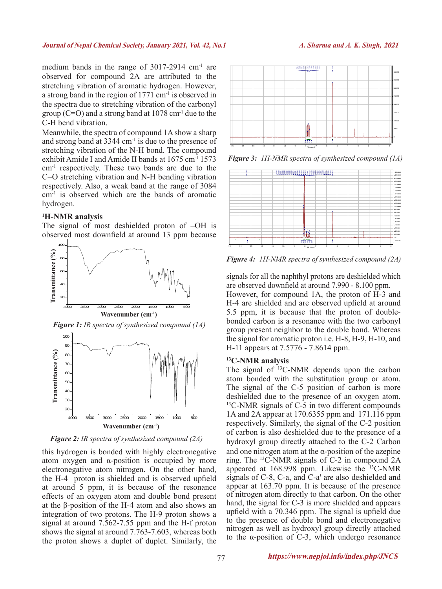medium bands in the range of 3017-2914 cm<sup>-1</sup> are observed for compound 2A are attributed to the stretching vibration of aromatic hydrogen. However, a strong band in the region of 1771 cm<sup>-1</sup> is observed in the spectra due to stretching vibration of the carbonyl group  $(C=O)$  and a strong band at 1078 cm<sup>-1</sup> due to the C-H bend vibration.

Meanwhile, the spectra of compound 1A show a sharp and strong band at 3344 cm-1 is due to the presence of stretching vibration of the N-H bond. The compound exhibit Amide I and Amide II bands at 1675 cm-1 1573 cm-1 respectively. These two bands are due to the C=O stretching vibration and N-H bending vibration respectively. Also, a weak band at the range of 3084 cm-1 is observed which are the bands of aromatic hydrogen.

#### **1 H-NMR analysis**

The signal of most deshielded proton of –OH is observed most downfield at around 13 ppm because



*Figure 1: IR spectra of synthesized compound (1A)*



*Figure 2: IR spectra of synthesized compound (2A)*

this hydrogen is bonded with highly electronegative atom oxygen and α-position is occupied by more electronegative atom nitrogen. On the other hand, the H-4 proton is shielded and is observed upfield at around 5 ppm, it is because of the resonance effects of an oxygen atom and double bond present at the β-position of the H-4 atom and also shows an integration of two protons. The H-9 proton shows a signal at around 7.562-7.55 ppm and the H-f proton shows the signal at around 7.763-7.603, whereas both the proton shows a duplet of duplet. Similarly, the



*Figure 3: 1H-NMR spectra of synthesized compound (1A)*



*Figure 4: 1H-NMR spectra of synthesized compound (2A)*

signals for all the naphthyl protons are deshielded which are observed downfield at around 7.990 - 8.100 ppm.

However, for compound 1A, the proton of H-3 and H-4 are shielded and are observed upfield at around 5.5 ppm, it is because that the proton of doublebonded carbon is a resonance with the two carbonyl group present neighbor to the double bond. Whereas the signal for aromatic proton i.e. H-8, H-9, H-10, and H-11 appears at 7.5776 - 7.8614 ppm.

#### **13C-NMR analysis**

The signal of <sup>13</sup>C-NMR depends upon the carbon atom bonded with the substitution group or atom. The signal of the C-5 position of carbon is more deshielded due to the presence of an oxygen atom. 13C-NMR signals of C-5 in two different compounds 1A and 2A appear at 170.6355 ppm and 171.116 ppm respectively. Similarly, the signal of the C-2 position of carbon is also deshielded due to the presence of a hydroxyl group directly attached to the C-2 Carbon and one nitrogen atom at the  $\alpha$ -position of the azepine ring. The 13C-NMR signals of C-2 in compound 2A appeared at 168.998 ppm. Likewise the 13C-NMR signals of C-8, C-a, and C-a' are also deshielded and appear at 163.70 ppm. It is because of the presence of nitrogen atom directly to that carbon. On the other hand, the signal for C-3 is more shielded and appears upfield with a 70.346 ppm. The signal is upfield due to the presence of double bond and electronegative nitrogen as well as hydroxyl group directly attached to the α-position of C-3, which undergo resonance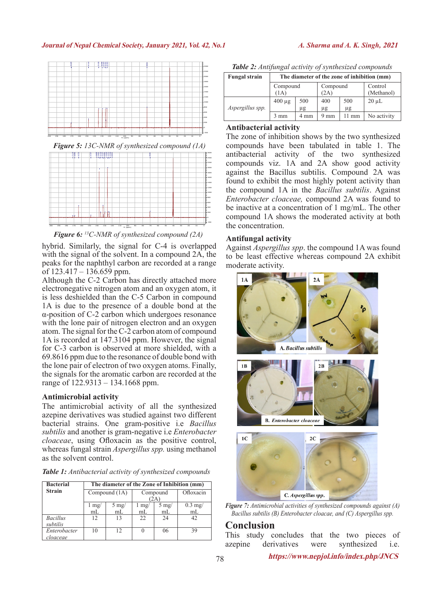#### **Journal of Nepal Chemical Society, January 2021, Vol. 42, No.1** *A. Sharma and A. K. Singh,* **2021**



*Figure 5: 13C-NMR of synthesized compound (1A)*



*Figure 6: 13C-NMR of synthesized compound (2A)*

hybrid. Similarly, the signal for C-4 is overlapped with the signal of the solvent. In a compound  $2\overrightarrow{A}$ , the peaks for the naphthyl carbon are recorded at a range of  $123.417 - 136.659$  ppm.

Although the C-2 Carbon has directly attached more electronegative nitrogen atom and an oxygen atom, it is less deshielded than the C-5 Carbon in compound 1A is due to the presence of a double bond at the α-position of C-2 carbon which undergoes resonance with the lone pair of nitrogen electron and an oxygen atom. The signal for the C-2 carbon atom of compound 1A is recorded at 147.3104 ppm. However, the signal for C-3 carbon is observed at more shielded, with a 69.8616 ppm due to the resonance of double bond with the lone pair of electron of two oxygen atoms. Finally, the signals for the aromatic carbon are recorded at the range of 122.9313 – 134.1668 ppm.

#### **Antimicrobial activity**

The antimicrobial activity of all the synthesized azepine derivatives was studied against two different bacterial strains. One gram-positive i.e *Bacillus subtilis* and another is gram-negative i.e *Enterobacter cloaceae*, using Ofloxacin as the positive control, whereas fungal strain *Aspergillus spp.* using methanol as the solvent control.

*Table 1: Antibacterial activity of synthesized compounds*

| <b>Bacterial</b> | The diameter of the Zone of Inhibition (mm) |                |          |                |           |  |  |
|------------------|---------------------------------------------|----------------|----------|----------------|-----------|--|--|
| <b>Strain</b>    |                                             | Compound (1A)  | Compound |                | Ofloxacin |  |  |
|                  | (2A)                                        |                |          |                |           |  |  |
|                  | l mg/                                       | $5 \text{ mg}$ | l mg/    | $5 \text{ mg}$ | $0.3$ mg/ |  |  |
|                  | mL                                          | mL             | mL       | mL             | mL        |  |  |
| <b>Bacillus</b>  | 12                                          | 13             | 22       | 24             | 42.       |  |  |
| subtilis         |                                             |                |          |                |           |  |  |
| Enterobacter     | 10                                          | 12             | $\theta$ | 06             | 39        |  |  |
| cloaceae         |                                             |                |          |                |           |  |  |

*Table 2: Antifungal activity of synthesized compounds*

| <b>Fungal strain</b> | The diameter of the zone of inhibition (mm) |                |                  |                 |                       |  |  |  |
|----------------------|---------------------------------------------|----------------|------------------|-----------------|-----------------------|--|--|--|
|                      | Compound<br>(1A)                            |                | Compound<br>(2A) |                 | Control<br>(Methanol) |  |  |  |
| Aspergillus spp.     | $400 \mu$ g                                 | 500<br>$\mu$ g | 400<br>μg        | 500<br>μg       | $20 \mu L$            |  |  |  |
|                      | mm                                          | 4 mm           | $9 \text{ mm}$   | $11 \text{ mm}$ | No activity           |  |  |  |

#### **Antibacterial activity**

The zone of inhibition shows by the two synthesized compounds have been tabulated in table 1. The antibacterial activity of the two synthesized compounds viz. 1A and 2A show good activity against the Bacillus subtilis. Compound 2A was found to exhibit the most highly potent activity than the compound 1A in the *Bacillus subtilis*. Against *Enterobacter cloaceae,* compound 2A was found to be inactive at a concentration of 1 mg/mL. The other compound 1A shows the moderated activity at both the concentration.

#### **Antifungal activity**

Against *Aspergillus spp*. the compound 1A was found to be least effective whereas compound 2A exhibit moderate activity.



*Figure 7: Antimicrobial activities of synthesized compounds against (A) Bacillus subtilis (B) Enterobacter cloacae, and (C) Aspergillus spp.*

## $Conclusion$

This study concludes that the two pieces of azepine derivatives were synthesized i.e.